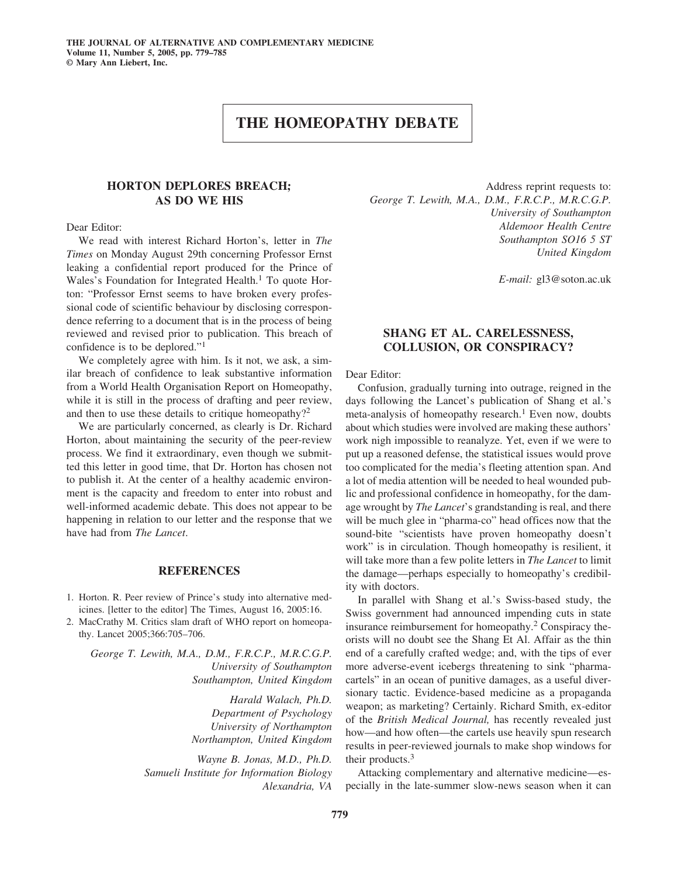# **THE HOMEOPATHY DEBATE**

## **HORTON DEPLORES BREACH; AS DO WE HIS**

Dear Editor:

We read with interest Richard Horton's, letter in *The Times* on Monday August 29th concerning Professor Ernst leaking a confidential report produced for the Prince of Wales's Foundation for Integrated Health.<sup>1</sup> To quote Horton: "Professor Ernst seems to have broken every professional code of scientific behaviour by disclosing correspondence referring to a document that is in the process of being reviewed and revised prior to publication. This breach of confidence is to be deplored."<sup>1</sup>

We completely agree with him. Is it not, we ask, a similar breach of confidence to leak substantive information from a World Health Organisation Report on Homeopathy, while it is still in the process of drafting and peer review, and then to use these details to critique homeopathy?<sup>2</sup>

We are particularly concerned, as clearly is Dr. Richard Horton, about maintaining the security of the peer-review process. We find it extraordinary, even though we submitted this letter in good time, that Dr. Horton has chosen not to publish it. At the center of a healthy academic environment is the capacity and freedom to enter into robust and well-informed academic debate. This does not appear to be happening in relation to our letter and the response that we have had from *The Lancet*.

### **REFERENCES**

- 1. Horton. R. Peer review of Prince's study into alternative medicines. [letter to the editor] The Times, August 16, 2005:16.
- 2. MacCrathy M. Critics slam draft of WHO report on homeopathy. Lancet 2005;366:705–706.

*George T. Lewith, M.A., D.M., F.R.C.P., M.R.C.G.P. University of Southampton Southampton, United Kingdom*

> *Harald Walach, Ph.D. Department of Psychology University of Northampton Northampton, United Kingdom*

*Wayne B. Jonas, M.D., Ph.D. Samueli Institute for Information Biology Alexandria, VA*

Address reprint requests to: *George T. Lewith, M.A., D.M., F.R.C.P., M.R.C.G.P. University of Southampton Aldemoor Health Centre Southampton SO16 5 ST United Kingdom*

*E-mail:* gl3@soton.ac.uk

## **SHANG ET AL. CARELESSNESS, COLLUSION, OR CONSPIRACY?**

Dear Editor:

Confusion, gradually turning into outrage, reigned in the days following the Lancet's publication of Shang et al.'s meta-analysis of homeopathy research.<sup>1</sup> Even now, doubts about which studies were involved are making these authors' work nigh impossible to reanalyze. Yet, even if we were to put up a reasoned defense, the statistical issues would prove too complicated for the media's fleeting attention span. And a lot of media attention will be needed to heal wounded public and professional confidence in homeopathy, for the damage wrought by *The Lancet*'s grandstanding is real, and there will be much glee in "pharma-co" head offices now that the sound-bite "scientists have proven homeopathy doesn't work" is in circulation. Though homeopathy is resilient, it will take more than a few polite letters in *The Lancet* to limit the damage—perhaps especially to homeopathy's credibility with doctors.

In parallel with Shang et al.'s Swiss-based study, the Swiss government had announced impending cuts in state insurance reimbursement for homeopathy.<sup>2</sup> Conspiracy theorists will no doubt see the Shang Et Al. Affair as the thin end of a carefully crafted wedge; and, with the tips of ever more adverse-event icebergs threatening to sink "pharmacartels" in an ocean of punitive damages, as a useful diversionary tactic. Evidence-based medicine as a propaganda weapon; as marketing? Certainly. Richard Smith, ex-editor of the *British Medical Journal,* has recently revealed just how—and how often—the cartels use heavily spun research results in peer-reviewed journals to make shop windows for their products.3

Attacking complementary and alternative medicine—especially in the late-summer slow-news season when it can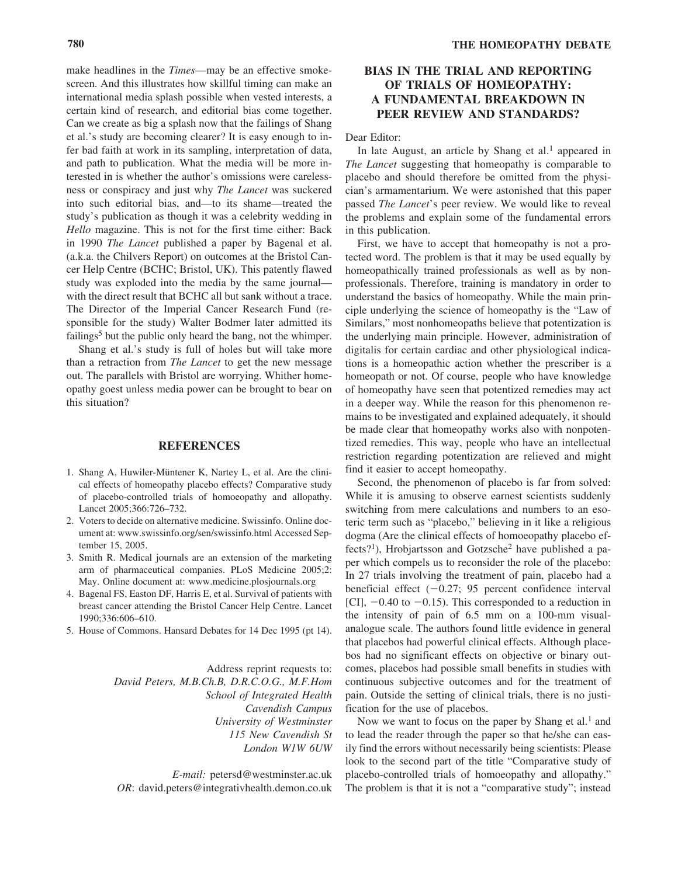make headlines in the *Times*—may be an effective smokescreen. And this illustrates how skillful timing can make an international media splash possible when vested interests, a certain kind of research, and editorial bias come together. Can we create as big a splash now that the failings of Shang et al.'s study are becoming clearer? It is easy enough to infer bad faith at work in its sampling, interpretation of data, and path to publication. What the media will be more interested in is whether the author's omissions were carelessness or conspiracy and just why *The Lancet* was suckered into such editorial bias, and—to its shame—treated the study's publication as though it was a celebrity wedding in *Hello* magazine. This is not for the first time either: Back in 1990 *The Lancet* published a paper by Bagenal et al. (a.k.a. the Chilvers Report) on outcomes at the Bristol Cancer Help Centre (BCHC; Bristol, UK). This patently flawed study was exploded into the media by the same journal with the direct result that BCHC all but sank without a trace. The Director of the Imperial Cancer Research Fund (responsible for the study) Walter Bodmer later admitted its failings<sup>5</sup> but the public only heard the bang, not the whimper.

Shang et al.'s study is full of holes but will take more than a retraction from *The Lancet* to get the new message out. The parallels with Bristol are worrying. Whither homeopathy goest unless media power can be brought to bear on this situation?

#### **REFERENCES**

- 1. Shang A, Huwiler-Müntener K, Nartey L, et al. Are the clinical effects of homeopathy placebo effects? Comparative study of placebo-controlled trials of homoeopathy and allopathy. Lancet 2005;366:726–732.
- 2. Voters to decide on alternative medicine. Swissinfo. Online document at: www.swissinfo.org/sen/swissinfo.html Accessed September 15, 2005.
- 3. Smith R. Medical journals are an extension of the marketing arm of pharmaceutical companies. PLoS Medicine 2005;2: May. Online document at: www.medicine.plosjournals.org
- 4. Bagenal FS, Easton DF, Harris E, et al. Survival of patients with breast cancer attending the Bristol Cancer Help Centre. Lancet 1990;336:606–610.
- 5. House of Commons. Hansard Debates for 14 Dec 1995 (pt 14).

Address reprint requests to: *David Peters, M.B.Ch.B, D.R.C.O.G., M.F.Hom School of Integrated Health Cavendish Campus University of Westminster 115 New Cavendish St London W1W 6UW*

*E-mail:* petersd@westminster.ac.uk *OR*: david.peters@integrativhealth.demon.co.uk

## **BIAS IN THE TRIAL AND REPORTING OF TRIALS OF HOMEOPATHY: A FUNDAMENTAL BREAKDOWN IN PEER REVIEW AND STANDARDS?**

Dear Editor:

In late August, an article by Shang et al.<sup>1</sup> appeared in *The Lancet* suggesting that homeopathy is comparable to placebo and should therefore be omitted from the physician's armamentarium. We were astonished that this paper passed *The Lancet*'s peer review. We would like to reveal the problems and explain some of the fundamental errors in this publication.

First, we have to accept that homeopathy is not a protected word. The problem is that it may be used equally by homeopathically trained professionals as well as by nonprofessionals. Therefore, training is mandatory in order to understand the basics of homeopathy. While the main principle underlying the science of homeopathy is the "Law of Similars," most nonhomeopaths believe that potentization is the underlying main principle. However, administration of digitalis for certain cardiac and other physiological indications is a homeopathic action whether the prescriber is a homeopath or not. Of course, people who have knowledge of homeopathy have seen that potentized remedies may act in a deeper way. While the reason for this phenomenon remains to be investigated and explained adequately, it should be made clear that homeopathy works also with nonpotentized remedies. This way, people who have an intellectual restriction regarding potentization are relieved and might find it easier to accept homeopathy.

Second, the phenomenon of placebo is far from solved: While it is amusing to observe earnest scientists suddenly switching from mere calculations and numbers to an esoteric term such as "placebo," believing in it like a religious dogma (Are the clinical effects of homoeopathy placebo effects?<sup>1</sup>), Hrobjartsson and Gotzsche<sup>2</sup> have published a paper which compels us to reconsider the role of the placebo: In 27 trials involving the treatment of pain, placebo had a beneficial effect  $(-0.27; 95$  percent confidence interval [CI],  $-0.40$  to  $-0.15$ ). This corresponded to a reduction in the intensity of pain of 6.5 mm on a 100-mm visualanalogue scale. The authors found little evidence in general that placebos had powerful clinical effects. Although placebos had no significant effects on objective or binary outcomes, placebos had possible small benefits in studies with continuous subjective outcomes and for the treatment of pain. Outside the setting of clinical trials, there is no justification for the use of placebos.

Now we want to focus on the paper by Shang et al.<sup>1</sup> and to lead the reader through the paper so that he/she can easily find the errors without necessarily being scientists: Please look to the second part of the title "Comparative study of placebo-controlled trials of homoeopathy and allopathy." The problem is that it is not a "comparative study"; instead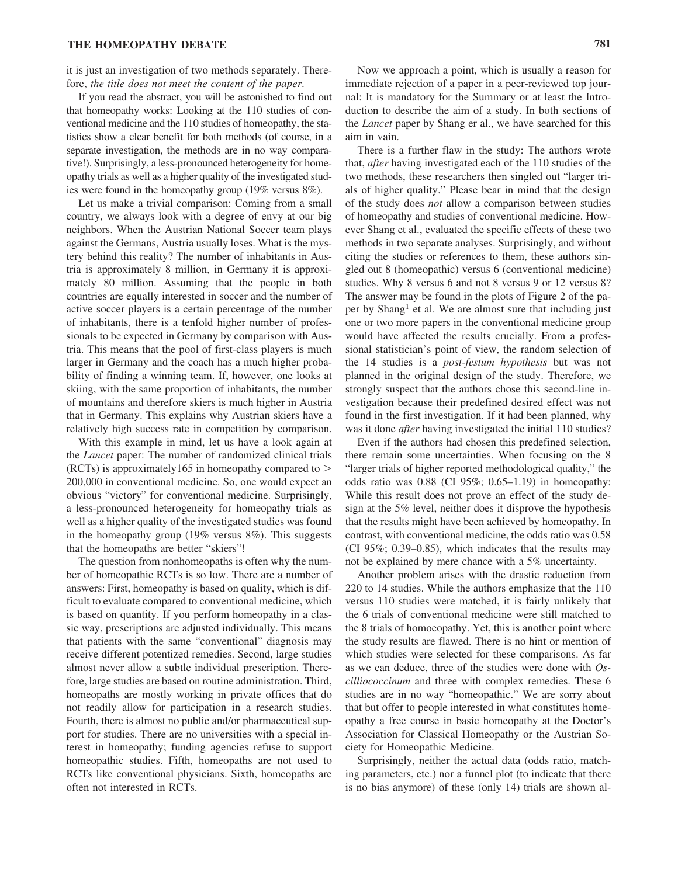## **THE HOMEOPATHY DEBATE 781**

it is just an investigation of two methods separately. Therefore, *the title does not meet the content of the paper*.

If you read the abstract, you will be astonished to find out that homeopathy works: Looking at the 110 studies of conventional medicine and the 110 studies of homeopathy, the statistics show a clear benefit for both methods (of course, in a separate investigation, the methods are in no way comparative!). Surprisingly, a less-pronounced heterogeneity for homeopathy trials as well as a higher quality of the investigated studies were found in the homeopathy group (19% versus 8%).

Let us make a trivial comparison: Coming from a small country, we always look with a degree of envy at our big neighbors. When the Austrian National Soccer team plays against the Germans, Austria usually loses. What is the mystery behind this reality? The number of inhabitants in Austria is approximately 8 million, in Germany it is approximately 80 million. Assuming that the people in both countries are equally interested in soccer and the number of active soccer players is a certain percentage of the number of inhabitants, there is a tenfold higher number of professionals to be expected in Germany by comparison with Austria. This means that the pool of first-class players is much larger in Germany and the coach has a much higher probability of finding a winning team. If, however, one looks at skiing, with the same proportion of inhabitants, the number of mountains and therefore skiers is much higher in Austria that in Germany. This explains why Austrian skiers have a relatively high success rate in competition by comparison.

With this example in mind, let us have a look again at the *Lancet* paper: The number of randomized clinical trials (RCTs) is approximately165 in homeopathy compared to  $>$ 200,000 in conventional medicine. So, one would expect an obvious "victory" for conventional medicine. Surprisingly, a less-pronounced heterogeneity for homeopathy trials as well as a higher quality of the investigated studies was found in the homeopathy group (19% versus 8%). This suggests that the homeopaths are better "skiers"!

The question from nonhomeopaths is often why the number of homeopathic RCTs is so low. There are a number of answers: First, homeopathy is based on quality, which is difficult to evaluate compared to conventional medicine, which is based on quantity. If you perform homeopathy in a classic way, prescriptions are adjusted individually. This means that patients with the same "conventional" diagnosis may receive different potentized remedies. Second, large studies almost never allow a subtle individual prescription. Therefore, large studies are based on routine administration. Third, homeopaths are mostly working in private offices that do not readily allow for participation in a research studies. Fourth, there is almost no public and/or pharmaceutical support for studies. There are no universities with a special interest in homeopathy; funding agencies refuse to support homeopathic studies. Fifth, homeopaths are not used to RCTs like conventional physicians. Sixth, homeopaths are often not interested in RCTs.

Now we approach a point, which is usually a reason for immediate rejection of a paper in a peer-reviewed top journal: It is mandatory for the Summary or at least the Introduction to describe the aim of a study. In both sections of the *Lancet* paper by Shang er al., we have searched for this aim in vain.

There is a further flaw in the study: The authors wrote that, *after* having investigated each of the 110 studies of the two methods, these researchers then singled out "larger trials of higher quality." Please bear in mind that the design of the study does *not* allow a comparison between studies of homeopathy and studies of conventional medicine. However Shang et al., evaluated the specific effects of these two methods in two separate analyses. Surprisingly, and without citing the studies or references to them, these authors singled out 8 (homeopathic) versus 6 (conventional medicine) studies. Why 8 versus 6 and not 8 versus 9 or 12 versus 8? The answer may be found in the plots of Figure 2 of the paper by Shang<sup>1</sup> et al. We are almost sure that including just one or two more papers in the conventional medicine group would have affected the results crucially. From a professional statistician's point of view, the random selection of the 14 studies is a *post-festum hypothesis* but was not planned in the original design of the study. Therefore, we strongly suspect that the authors chose this second-line investigation because their predefined desired effect was not found in the first investigation. If it had been planned, why was it done *after* having investigated the initial 110 studies?

Even if the authors had chosen this predefined selection, there remain some uncertainties. When focusing on the 8 "larger trials of higher reported methodological quality," the odds ratio was  $0.88$  (CI 95%;  $0.65-1.19$ ) in homeopathy: While this result does not prove an effect of the study design at the 5% level, neither does it disprove the hypothesis that the results might have been achieved by homeopathy. In contrast, with conventional medicine, the odds ratio was 0.58 (CI 95%; 0.39–0.85), which indicates that the results may not be explained by mere chance with a 5% uncertainty.

Another problem arises with the drastic reduction from 220 to 14 studies. While the authors emphasize that the 110 versus 110 studies were matched, it is fairly unlikely that the 6 trials of conventional medicine were still matched to the 8 trials of homoeopathy. Yet, this is another point where the study results are flawed. There is no hint or mention of which studies were selected for these comparisons. As far as we can deduce, three of the studies were done with *Oscilliococcinum* and three with complex remedies. These 6 studies are in no way "homeopathic." We are sorry about that but offer to people interested in what constitutes homeopathy a free course in basic homeopathy at the Doctor's Association for Classical Homeopathy or the Austrian Society for Homeopathic Medicine.

Surprisingly, neither the actual data (odds ratio, matching parameters, etc.) nor a funnel plot (to indicate that there is no bias anymore) of these (only 14) trials are shown al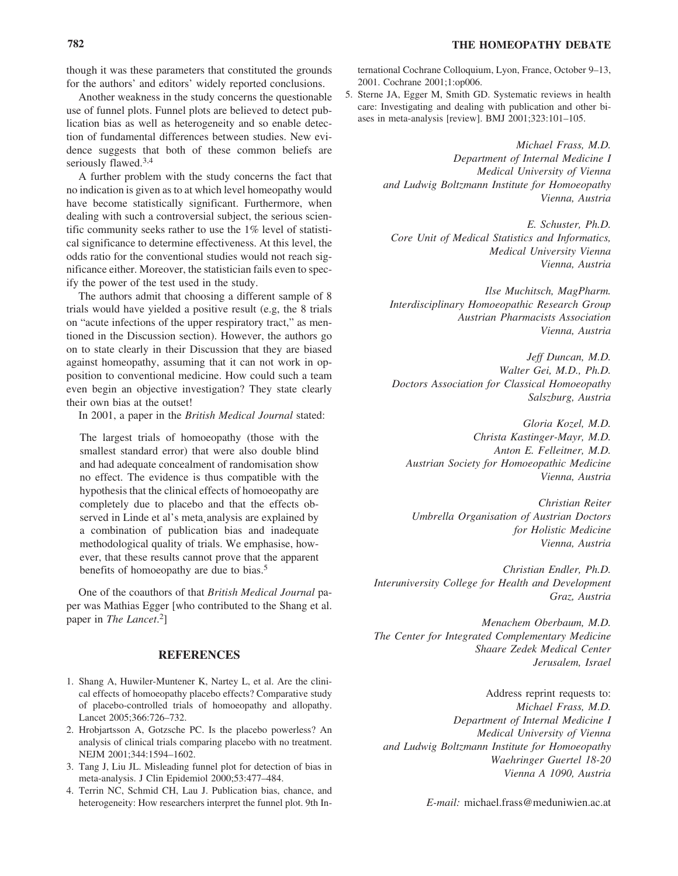though it was these parameters that constituted the grounds for the authors' and editors' widely reported conclusions.

Another weakness in the study concerns the questionable use of funnel plots. Funnel plots are believed to detect publication bias as well as heterogeneity and so enable detection of fundamental differences between studies. New evidence suggests that both of these common beliefs are seriously flawed.3,4

A further problem with the study concerns the fact that no indication is given as to at which level homeopathy would have become statistically significant. Furthermore, when dealing with such a controversial subject, the serious scientific community seeks rather to use the 1% level of statistical significance to determine effectiveness. At this level, the odds ratio for the conventional studies would not reach significance either. Moreover, the statistician fails even to specify the power of the test used in the study.

The authors admit that choosing a different sample of 8 trials would have yielded a positive result (e.g, the 8 trials on "acute infections of the upper respiratory tract," as mentioned in the Discussion section). However, the authors go on to state clearly in their Discussion that they are biased against homeopathy, assuming that it can not work in opposition to conventional medicine. How could such a team even begin an objective investigation? They state clearly their own bias at the outset!

In 2001, a paper in the *British Medical Journal* stated:

The largest trials of homoeopathy (those with the smallest standard error) that were also double blind and had adequate concealment of randomisation show no effect. The evidence is thus compatible with the hypothesis that the clinical effects of homoeopathy are completely due to placebo and that the effects observed in Linde et al's meta analysis are explained by a combination of publication bias and inadequate methodological quality of trials. We emphasise, however, that these results cannot prove that the apparent benefits of homoeopathy are due to bias.<sup>5</sup>

One of the coauthors of that *British Medical Journal* paper was Mathias Egger [who contributed to the Shang et al. paper in *The Lancet*. 2]

### **REFERENCES**

- 1. Shang A, Huwiler-Muntener K, Nartey L, et al. Are the clinical effects of homoeopathy placebo effects? Comparative study of placebo-controlled trials of homoeopathy and allopathy. Lancet 2005;366:726–732.
- 2. Hrobjartsson A, Gotzsche PC. Is the placebo powerless? An analysis of clinical trials comparing placebo with no treatment. NEJM 2001;344:1594–1602.
- 3. Tang J, Liu JL. Misleading funnel plot for detection of bias in meta-analysis. J Clin Epidemiol 2000;53:477–484.
- 4. Terrin NC, Schmid CH, Lau J. Publication bias, chance, and heterogeneity: How researchers interpret the funnel plot. 9th In-

ternational Cochrane Colloquium, Lyon, France, October 9–13, 2001. Cochrane 2001;1:op006.

5. Sterne JA, Egger M, Smith GD. Systematic reviews in health care: Investigating and dealing with publication and other biases in meta-analysis [review]. BMJ 2001;323:101–105.

> *Michael Frass, M.D. Department of Internal Medicine I Medical University of Vienna and Ludwig Boltzmann Institute for Homoeopathy Vienna, Austria*

*E. Schuster, Ph.D. Core Unit of Medical Statistics and Informatics, Medical University Vienna Vienna, Austria*

*Ilse Muchitsch, MagPharm. Interdisciplinary Homoeopathic Research Group Austrian Pharmacists Association Vienna, Austria*

*Jeff Duncan, M.D. Walter Gei, M.D., Ph.D. Doctors Association for Classical Homoeopathy Salszburg, Austria*

*Gloria Kozel, M.D. Christa Kastinger-Mayr, M.D. Anton E. Felleitner, M.D. Austrian Society for Homoeopathic Medicine Vienna, Austria*

*Christian Reiter Umbrella Organisation of Austrian Doctors for Holistic Medicine Vienna, Austria*

*Christian Endler, Ph.D. Interuniversity College for Health and Development Graz, Austria*

*Menachem Oberbaum, M.D. The Center for Integrated Complementary Medicine Shaare Zedek Medical Center Jerusalem, Israel*

Address reprint requests to: *Michael Frass, M.D. Department of Internal Medicine I Medical University of Vienna and Ludwig Boltzmann Institute for Homoeopathy Waehringer Guertel 18-20 Vienna A 1090, Austria*

*E-mail:* michael.frass@meduniwien.ac.at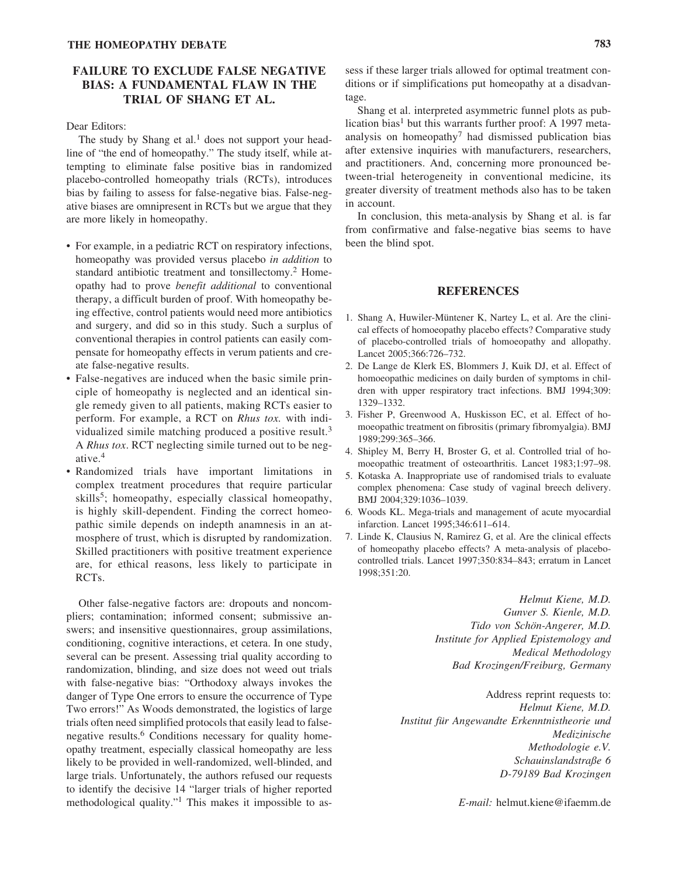## **FAILURE TO EXCLUDE FALSE NEGATIVE BIAS: A FUNDAMENTAL FLAW IN THE TRIAL OF SHANG ET AL.**

Dear Editors:

The study by Shang et al.<sup>1</sup> does not support your headline of "the end of homeopathy." The study itself, while attempting to eliminate false positive bias in randomized placebo-controlled homeopathy trials (RCTs), introduces bias by failing to assess for false-negative bias. False-negative biases are omnipresent in RCTs but we argue that they are more likely in homeopathy.

- For example, in a pediatric RCT on respiratory infections, homeopathy was provided versus placebo *in addition* to standard antibiotic treatment and tonsillectomy.<sup>2</sup> Homeopathy had to prove *benefit additional* to conventional therapy, a difficult burden of proof. With homeopathy being effective, control patients would need more antibiotics and surgery, and did so in this study. Such a surplus of conventional therapies in control patients can easily compensate for homeopathy effects in verum patients and create false-negative results.
- False-negatives are induced when the basic simile principle of homeopathy is neglected and an identical single remedy given to all patients, making RCTs easier to perform. For example, a RCT on *Rhus tox.* with individualized simile matching produced a positive result.<sup>3</sup> A *Rhus tox*. RCT neglecting simile turned out to be negative.<sup>4</sup>
- Randomized trials have important limitations in complex treatment procedures that require particular skills<sup>5</sup>; homeopathy, especially classical homeopathy, is highly skill-dependent. Finding the correct homeopathic simile depends on indepth anamnesis in an atmosphere of trust, which is disrupted by randomization. Skilled practitioners with positive treatment experience are, for ethical reasons, less likely to participate in RCTs.

Other false-negative factors are: dropouts and noncompliers; contamination; informed consent; submissive answers; and insensitive questionnaires, group assimilations, conditioning, cognitive interactions, et cetera. In one study, several can be present. Assessing trial quality according to randomization, blinding, and size does not weed out trials with false-negative bias: "Orthodoxy always invokes the danger of Type One errors to ensure the occurrence of Type Two errors!" As Woods demonstrated, the logistics of large trials often need simplified protocols that easily lead to falsenegative results.<sup>6</sup> Conditions necessary for quality homeopathy treatment, especially classical homeopathy are less likely to be provided in well-randomized, well-blinded, and large trials. Unfortunately, the authors refused our requests to identify the decisive 14 "larger trials of higher reported methodological quality."<sup>1</sup> This makes it impossible to assess if these larger trials allowed for optimal treatment conditions or if simplifications put homeopathy at a disadvantage.

Shang et al. interpreted asymmetric funnel plots as publication bias<sup>1</sup> but this warrants further proof: A 1997 metaanalysis on homeopathy<sup>7</sup> had dismissed publication bias after extensive inquiries with manufacturers, researchers, and practitioners. And, concerning more pronounced between-trial heterogeneity in conventional medicine, its greater diversity of treatment methods also has to be taken in account.

In conclusion, this meta-analysis by Shang et al. is far from confirmative and false-negative bias seems to have been the blind spot.

#### **REFERENCES**

- 1. Shang A, Huwiler-Müntener K, Nartey L, et al. Are the clinical effects of homoeopathy placebo effects? Comparative study of placebo-controlled trials of homoeopathy and allopathy. Lancet 2005;366:726–732.
- 2. De Lange de Klerk ES, Blommers J, Kuik DJ, et al. Effect of homoeopathic medicines on daily burden of symptoms in children with upper respiratory tract infections. BMJ 1994;309: 1329–1332.
- 3. Fisher P, Greenwood A, Huskisson EC, et al. Effect of homoeopathic treatment on fibrositis (primary fibromyalgia). BMJ 1989;299:365–366.
- 4. Shipley M, Berry H, Broster G, et al. Controlled trial of homoeopathic treatment of osteoarthritis. Lancet 1983;1:97–98.
- 5. Kotaska A. Inappropriate use of randomised trials to evaluate complex phenomena: Case study of vaginal breech delivery. BMJ 2004;329:1036–1039.
- 6. Woods KL. Mega-trials and management of acute myocardial infarction. Lancet 1995;346:611–614.
- 7. Linde K, Clausius N, Ramirez G, et al. Are the clinical effects of homeopathy placebo effects? A meta-analysis of placebocontrolled trials. Lancet 1997;350:834–843; erratum in Lancet 1998;351:20.

*Helmut Kiene, M.D. Gunver S. Kienle, M.D. Tido von Schön-Angerer, M.D. Institute for Applied Epistemology and Medical Methodology Bad Krozingen/Freiburg, Germany*

Address reprint requests to: *Helmut Kiene, M.D. Institut für Angewandte Erkenntnistheorie und Medizinische Methodologie e.V. Schauinslandstraße 6 D-79189 Bad Krozingen*

*E-mail:* helmut.kiene@ifaemm.de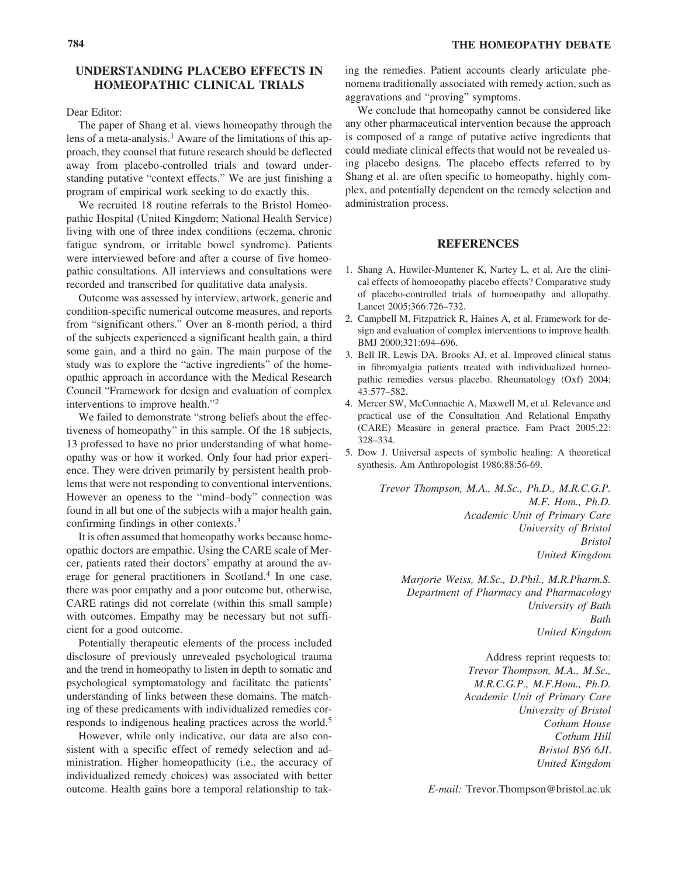## **UNDERSTANDING PLACEBO EFFECTS IN HOMEOPATHIC CLINICAL TRIALS**

#### Dear Editor:

The paper of Shang et al. views homeopathy through the lens of a meta-analysis.<sup>1</sup> Aware of the limitations of this approach, they counsel that future research should be deflected away from placebo-controlled trials and toward understanding putative "context effects." We are just finishing a program of empirical work seeking to do exactly this.

We recruited 18 routine referrals to the Bristol Homeopathic Hospital (United Kingdom; National Health Service) living with one of three index conditions (eczema, chronic fatigue syndrom, or irritable bowel syndrome). Patients were interviewed before and after a course of five homeopathic consultations. All interviews and consultations were recorded and transcribed for qualitative data analysis.

Outcome was assessed by interview, artwork, generic and condition-specific numerical outcome measures, and reports from "significant others." Over an 8-month period, a third of the subjects experienced a significant health gain, a third some gain, and a third no gain. The main purpose of the study was to explore the "active ingredients" of the homeopathic approach in accordance with the Medical Research Council "Framework for design and evaluation of complex interventions to improve health."<sup>2</sup>

We failed to demonstrate "strong beliefs about the effectiveness of homeopathy" in this sample. Of the 18 subjects, 13 professed to have no prior understanding of what homeopathy was or how it worked. Only four had prior experience. They were driven primarily by persistent health problems that were not responding to conventional interventions. However an openess to the "mind–body" connection was found in all but one of the subjects with a major health gain, confirming findings in other contexts.<sup>3</sup>

It is often assumed that homeopathy works because homeopathic doctors are empathic. Using the CARE scale of Mercer, patients rated their doctors' empathy at around the average for general practitioners in Scotland.<sup>4</sup> In one case, there was poor empathy and a poor outcome but, otherwise, CARE ratings did not correlate (within this small sample) with outcomes. Empathy may be necessary but not sufficient for a good outcome.

Potentially therapeutic elements of the process included disclosure of previously unrevealed psychological trauma and the trend in homeopathy to listen in depth to somatic and psychological symptomatology and facilitate the patients' understanding of links between these domains. The matching of these predicaments with individualized remedies corresponds to indigenous healing practices across the world.5

However, while only indicative, our data are also consistent with a specific effect of remedy selection and administration. Higher homeopathicity (i.e., the accuracy of individualized remedy choices) was associated with better outcome. Health gains bore a temporal relationship to taking the remedies. Patient accounts clearly articulate phenomena traditionally associated with remedy action, such as aggravations and "proving" symptoms.

We conclude that homeopathy cannot be considered like any other pharmaceutical intervention because the approach is composed of a range of putative active ingredients that could mediate clinical effects that would not be revealed using placebo designs. The placebo effects referred to by Shang et al. are often specific to homeopathy, highly complex, and potentially dependent on the remedy selection and administration process.

#### **REFERENCES**

- 1. Shang A, Huwiler-Muntener K, Nartey L, et al. Are the clinical effects of homoeopathy placebo effects? Comparative study of placebo-controlled trials of homoeopathy and allopathy. Lancet 2005;366:726–732.
- 2. Campbell M, Fitzpatrick R, Haines A, et al. Framework for design and evaluation of complex interventions to improve health. BMJ 2000;321:694–696.
- 3. Bell IR, Lewis DA, Brooks AJ, et al. Improved clinical status in fibromyalgia patients treated with individualized homeopathic remedies versus placebo. Rheumatology (Oxf) 2004; 43:577–582.
- 4. Mercer SW, McConnachie A, Maxwell M, et al. Relevance and practical use of the Consultation And Relational Empathy (CARE) Measure in general practice. Fam Pract 2005;22: 328–334.
- 5. Dow J. Universal aspects of symbolic healing: A theoretical synthesis. Am Anthropologist 1986;88:56-69.

*Trevor Thompson, M.A., M.Sc., Ph.D., M.R.C.G.P. M.F. Hom., Ph.D. Academic Unit of Primary Care University of Bristol Bristol United Kingdom*

*Marjorie Weiss, M.Sc., D.Phil., M.R.Pharm.S. Department of Pharmacy and Pharmacology University of Bath Bath United Kingdom*

> Address reprint requests to: *Trevor Thompson, M.A., M.Sc., M.R.C.G.P., M.F.Hom., Ph.D. Academic Unit of Primary Care University of Bristol Cotham House Cotham Hill Bristol BS6 6JL United Kingdom*

*E-mail:* Trevor.Thompson@bristol.ac.uk